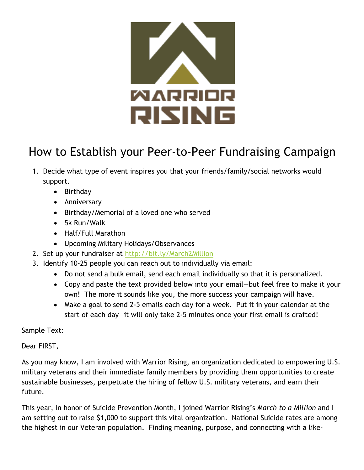

## How to Establish your Peer-to-Peer Fundraising Campaign

- 1. Decide what type of event inspires you that your friends/family/social networks would support.
	- Birthday
	- Anniversary
	- Birthday/Memorial of a loved one who served
	- 5k Run/Walk
	- Half/Full Marathon
	- Upcoming Military Holidays/Observances
- 2. Set up your fundraiser at http://bit.ly/March2Million
- 3. Identify 10-25 people you can reach out to individually via email:
	- Do not send a bulk email, send each email individually so that it is personalized.
	- Copy and paste the text provided below into your email—but feel free to make it your own! The more it sounds like you, the more success your campaign will have.
	- Make a goal to send 2-5 emails each day for a week. Put it in your calendar at the start of each day—it will only take 2-5 minutes once your first email is drafted!

Sample Text:

Dear FIRST,

As you may know, I am involved with Warrior Rising, an organization dedicated to empowering U.S. military veterans and their immediate family members by providing them opportunities to create sustainable businesses, perpetuate the hiring of fellow U.S. military veterans, and earn their future.

This year, in honor of Suicide Prevention Month, I joined Warrior Rising's *March to a Million* and I am setting out to raise \$1,000 to support this vital organization. National Suicide rates are among the highest in our Veteran population. Finding meaning, purpose, and connecting with a like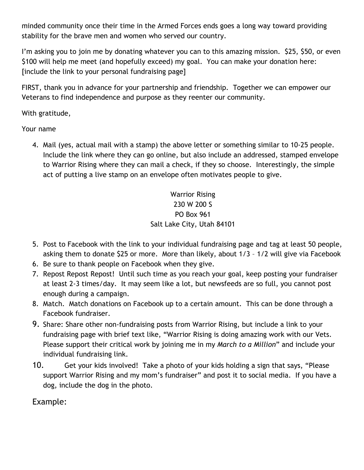minded community once their time in the Armed Forces ends goes a long way toward providing stability for the brave men and women who served our country.

I'm asking you to join me by donating whatever you can to this amazing mission. \$25, \$50, or even \$100 will help me meet (and hopefully exceed) my goal. You can make your donation here: [include the link to your personal fundraising page]

FIRST, thank you in advance for your partnership and friendship. Together we can empower our Veterans to find independence and purpose as they reenter our community.

With gratitude,

Your name

4. Mail (yes, actual mail with a stamp) the above letter or something similar to 10-25 people. Include the link where they can go online, but also include an addressed, stamped envelope to Warrior Rising where they can mail a check, if they so choose. Interestingly, the simple act of putting a live stamp on an envelope often motivates people to give.

> Warrior Rising 230 W 200 S PO Box 961 Salt Lake City, Utah 84101

- 5. Post to Facebook with the link to your individual fundraising page and tag at least 50 people, asking them to donate \$25 or more. More than likely, about 1/3 – 1/2 will give via Facebook
- 6. Be sure to thank people on Facebook when they give.
- 7. Repost Repost Repost! Until such time as you reach your goal, keep posting your fundraiser at least 2-3 times/day. It may seem like a lot, but newsfeeds are so full, you cannot post enough during a campaign.
- 8. Match. Match donations on Facebook up to a certain amount. This can be done through a Facebook fundraiser.
- 9. Share: Share other non-fundraising posts from Warrior Rising, but include a link to your fundraising page with brief text like, "Warrior Rising is doing amazing work with our Vets. Please support their critical work by joining me in my *March to a Million*" and include your individual fundraising link.
- 10. Get your kids involved! Take a photo of your kids holding a sign that says, "Please support Warrior Rising and my mom's fundraiser" and post it to social media. If you have a dog, include the dog in the photo.

Example: